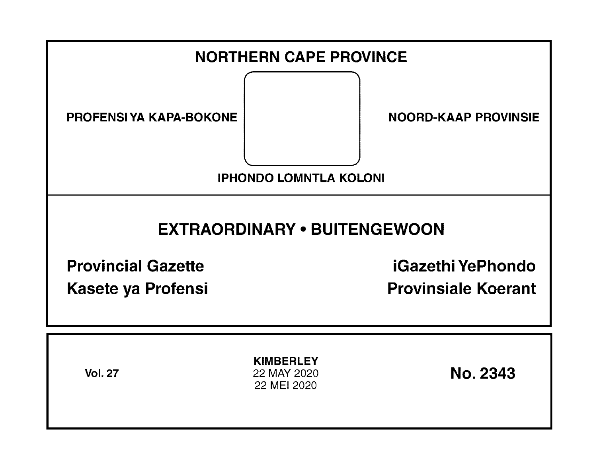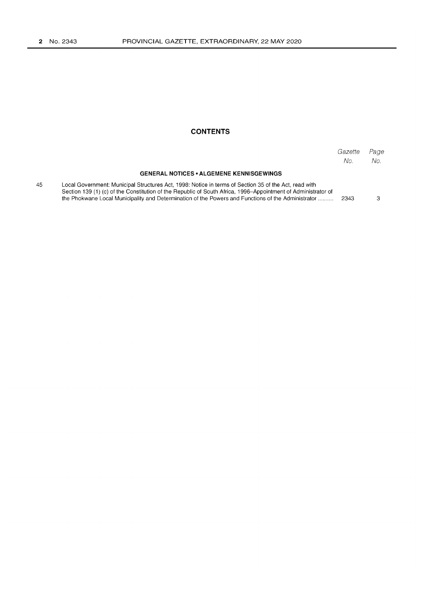45

## **CONTENTS**

|                                                                                                                                                                                                                                                                                                                              | Gazette<br>No. | Page<br>No. |
|------------------------------------------------------------------------------------------------------------------------------------------------------------------------------------------------------------------------------------------------------------------------------------------------------------------------------|----------------|-------------|
| <b>GENERAL NOTICES • ALGEMENE KENNISGEWINGS</b>                                                                                                                                                                                                                                                                              |                |             |
| Local Government: Municipal Structures Act, 1998: Notice in terms of Section 35 of the Act, read with<br>Section 139 (1) (c) of the Constitution of the Republic of South Africa, 1996–Appointment of Administrator of<br>the Phokwane Local Municipality and Determination of the Powers and Functions of the Administrator | -2343          |             |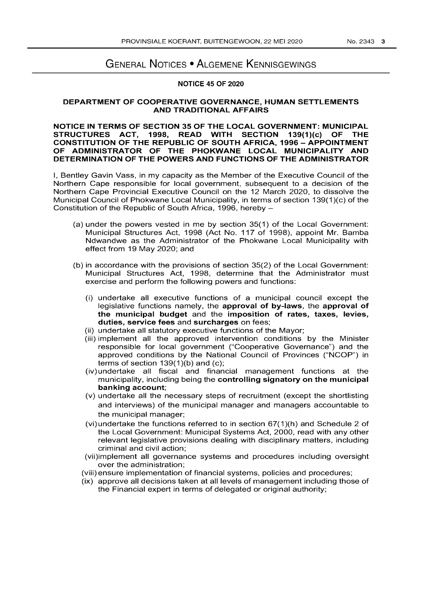# GENERAL NOTICES • ALGEMENE KENNISGEWINGS

### **NOTICE 45 OF 2020**

#### **DEPARTMENT OF COOPERATIVE GOVERNANCE, HUMAN SETTLEMENTS AND TRADITIONAL AFFAIRS**

#### **NOTICE IN TERMS OF SECTION 35 OF THE LOCAL GOVERNMENT: MUNICIPAL STRUCTURES ACT, 1998, READ WITH SECTION 139(1}(c} OF THE CONSTITUTION OF THE REPUBLIC OF SOUTH AFRICA, 1996 - APPOINTMENT OF ADMINISTRATOR OF THE PHOKWANE LOCAL MUNICIPALITY AND DETERMINATION OF THE POWERS AND FUNCTIONS OF THE ADMINISTRATOR**

I, Bentley Gavin Vass, in my capacity as the Member of the Executive Council of the Northern Cape responsible for local government, subsequent to a decision of the Northern Cape Provincial Executive Council on the 12 March 2020, to dissolve the Municipal Council of Phokwane Local Municipality, in terms of section 139(1 )(c) of the Constitution of the Republic of South Africa, 1996, hereby -

- (a) under the powers vested in me by section 35(1) of the Local Government: Municipal Structures Act, 1998 (Act No. 117 of 1998), appoint Mr. Bamba Ndwandwe as the Administrator of the Phokwane Local Municipality with effect from 19 May 2020; and
- (b) in accordance with the provisions of section 35(2) of the Local Government: Municipal Structures Act, 1998, determine that the Administrator must exercise and perform the following powers and functions:
	- (i) undertake all executive functions of a municipal council except the legislative functions namely, the **approval of by-laws,** the **approval of the municipal budget** and the **imposition of rates, taxes, levies, duties, service fees** and **surcharges** on fees;
	- (ii) undertake all statutory executive functions of the Mayor;
	- (iii) implement all the approved intervention conditions by the Minister responsible for local government ("Cooperative Governance") and the approved conditions by the National Council of Provinces ("NCOP") in terms of section 139(1)(b) and (c);
	- (iv) undertake all fiscal and financial management functions at the municipality, including being the **controlling signatory on the municipal banking account;**
	- (v) undertake all the necessary steps of recruitment (except the shortlisting and interviews) of the municipal manager and managers accountable to the municipal manager;
	- (vi)undertake the functions referred to in section 67(1)(h) and Schedule 2 of the Local Government: Municipal Systems Act, 2000, read with any other relevant legislative provisions dealing with disciplinary matters, including criminal and civil action;
	- (vii)implement all governance systems and procedures including oversight over the administration;
	- (viii) ensure implementation of financial systems, policies and procedures;
	- (ix) approve all decisions taken at all levels of management including those of the Financial expert in terms of delegated or original authority;